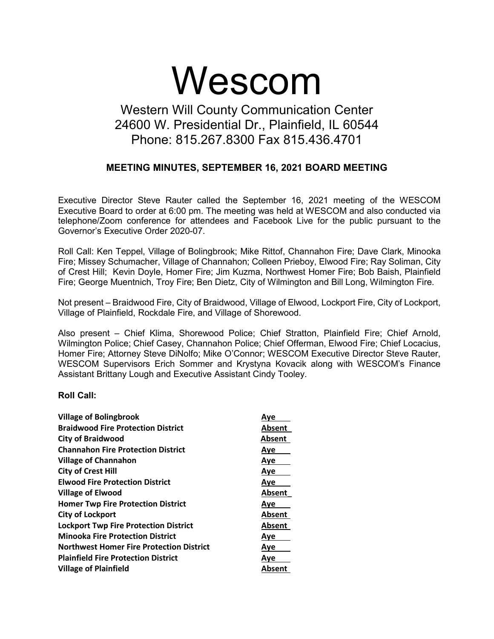# Wescom

# Western Will County Communication Center 24600 W. Presidential Dr., Plainfield, IL 60544 Phone: 815.267.8300 Fax 815.436.4701

## **MEETING MINUTES, SEPTEMBER 16, 2021 BOARD MEETING**

Executive Director Steve Rauter called the September 16, 2021 meeting of the WESCOM Executive Board to order at 6:00 pm. The meeting was held at WESCOM and also conducted via telephone/Zoom conference for attendees and Facebook Live for the public pursuant to the Governor's Executive Order 2020-07.

Roll Call: Ken Teppel, Village of Bolingbrook; Mike Rittof, Channahon Fire; Dave Clark, Minooka Fire; Missey Schumacher, Village of Channahon; Colleen Prieboy, Elwood Fire; Ray Soliman, City of Crest Hill; Kevin Doyle, Homer Fire; Jim Kuzma, Northwest Homer Fire; Bob Baish, Plainfield Fire; George Muentnich, Troy Fire; Ben Dietz, City of Wilmington and Bill Long, Wilmington Fire.

Not present – Braidwood Fire, City of Braidwood, Village of Elwood, Lockport Fire, City of Lockport, Village of Plainfield, Rockdale Fire, and Village of Shorewood.

Also present – Chief Klima, Shorewood Police; Chief Stratton, Plainfield Fire; Chief Arnold, Wilmington Police; Chief Casey, Channahon Police; Chief Offerman, Elwood Fire; Chief Locacius, Homer Fire; Attorney Steve DiNolfo; Mike O'Connor; WESCOM Executive Director Steve Rauter, WESCOM Supervisors Erich Sommer and Krystyna Kovacik along with WESCOM's Finance Assistant Brittany Lough and Executive Assistant Cindy Tooley.

#### **Roll Call:**

| <b>Village of Bolingbrook</b>                   | Ave           |
|-------------------------------------------------|---------------|
| <b>Braidwood Fire Protection District</b>       | <b>Absent</b> |
| <b>City of Braidwood</b>                        | Absent        |
| <b>Channahon Fire Protection District</b>       | Aye           |
| <b>Village of Channahon</b>                     | Aye           |
| <b>City of Crest Hill</b>                       | Aye           |
| <b>Elwood Fire Protection District</b>          | Aye           |
| <b>Village of Elwood</b>                        | <b>Absent</b> |
| <b>Homer Twp Fire Protection District</b>       | Ave           |
| <b>City of Lockport</b>                         | Absent        |
| <b>Lockport Twp Fire Protection District</b>    | Absent        |
| <b>Minooka Fire Protection District</b>         | <b>Aye</b>    |
| <b>Northwest Homer Fire Protection District</b> | Ave           |
| <b>Plainfield Fire Protection District</b>      | Aye           |
| <b>Village of Plainfield</b>                    | Absent        |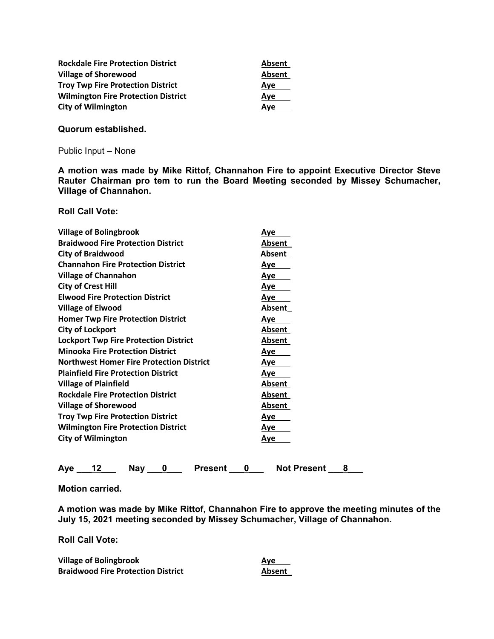| <b>Rockdale Fire Protection District</b>   | <b>Absent</b> |
|--------------------------------------------|---------------|
| <b>Village of Shorewood</b>                | Absent        |
| <b>Troy Twp Fire Protection District</b>   | Aye           |
| <b>Wilmington Fire Protection District</b> | Ave           |
| <b>City of Wilmington</b>                  | Ave           |

**Quorum established.** 

Public Input – None

**A motion was made by Mike Rittof, Channahon Fire to appoint Executive Director Steve Rauter Chairman pro tem to run the Board Meeting seconded by Missey Schumacher, Village of Channahon.** 

**Roll Call Vote:** 

| <b>Village of Bolingbrook</b>                   | Aye           |
|-------------------------------------------------|---------------|
| <b>Braidwood Fire Protection District</b>       | Absent        |
| <b>City of Braidwood</b>                        | Absent        |
| <b>Channahon Fire Protection District</b>       | <u>Aye</u>    |
| <b>Village of Channahon</b>                     | <u>Aye</u>    |
| <b>City of Crest Hill</b>                       | <u>Aye</u>    |
| <b>Elwood Fire Protection District</b>          | <u>Aye</u>    |
| <b>Village of Elwood</b>                        | Absent        |
| <b>Homer Twp Fire Protection District</b>       | Aye           |
| <b>City of Lockport</b>                         | Absent        |
| <b>Lockport Twp Fire Protection District</b>    | Absent        |
| <b>Minooka Fire Protection District</b>         | <u>Aye</u>    |
| <b>Northwest Homer Fire Protection District</b> | Aye           |
| <b>Plainfield Fire Protection District</b>      | Aye           |
| <b>Village of Plainfield</b>                    | Absent        |
| <b>Rockdale Fire Protection District</b>        | <b>Absent</b> |
| <b>Village of Shorewood</b>                     | Absent        |
| <b>Troy Twp Fire Protection District</b>        | <u>Aye</u>    |
| <b>Wilmington Fire Protection District</b>      | Aye           |
| <b>City of Wilmington</b>                       | Aye           |
|                                                 |               |

Aye 12 Nay 0 Present 0 Not Present 8

**Motion carried.** 

**A motion was made by Mike Rittof, Channahon Fire to approve the meeting minutes of the July 15, 2021 meeting seconded by Missey Schumacher, Village of Channahon.** 

**Roll Call Vote:** 

| <b>Village of Bolingbrook</b>             | Ave           |
|-------------------------------------------|---------------|
| <b>Braidwood Fire Protection District</b> | <b>Absent</b> |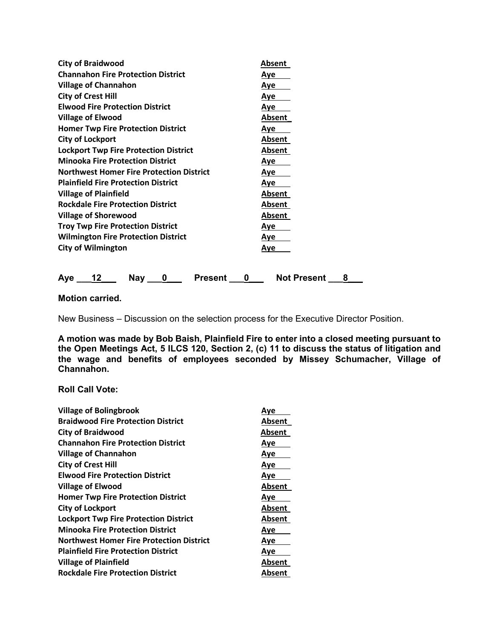| <b>City of Braidwood</b>                        | Absent     |
|-------------------------------------------------|------------|
| <b>Channahon Fire Protection District</b>       | <u>Aye</u> |
| <b>Village of Channahon</b>                     | <u>Aye</u> |
| <b>City of Crest Hill</b>                       | <u>Aye</u> |
| <b>Elwood Fire Protection District</b>          | Aye        |
| <b>Village of Elwood</b>                        | Absent     |
| <b>Homer Twp Fire Protection District</b>       | Aye        |
| <b>City of Lockport</b>                         | Absent     |
| <b>Lockport Twp Fire Protection District</b>    | Absent     |
| <b>Minooka Fire Protection District</b>         | Aye        |
| <b>Northwest Homer Fire Protection District</b> | Aye        |
| <b>Plainfield Fire Protection District</b>      | Aye        |
| <b>Village of Plainfield</b>                    | Absent     |
| <b>Rockdale Fire Protection District</b>        | Absent     |
| <b>Village of Shorewood</b>                     | Absent     |
| <b>Troy Twp Fire Protection District</b>        | Aye        |
| <b>Wilmington Fire Protection District</b>      | Aye        |
| <b>City of Wilmington</b>                       | Aye        |
|                                                 |            |

Aye 12 Nay 0 Present 0 Not Present 8

**Motion carried.** 

New Business – Discussion on the selection process for the Executive Director Position.

**A motion was made by Bob Baish, Plainfield Fire to enter into a closed meeting pursuant to the Open Meetings Act, 5 ILCS 120, Section 2, (c) 11 to discuss the status of litigation and the wage and benefits of employees seconded by Missey Schumacher, Village of Channahon.** 

### **Roll Call Vote:**

| <b>Village of Bolingbrook</b>                   | Ave    |
|-------------------------------------------------|--------|
| <b>Braidwood Fire Protection District</b>       | Absent |
| <b>City of Braidwood</b>                        | Absent |
| <b>Channahon Fire Protection District</b>       | Aye    |
| <b>Village of Channahon</b>                     | Aye    |
| <b>City of Crest Hill</b>                       | Aye    |
| <b>Elwood Fire Protection District</b>          | Ave    |
| <b>Village of Elwood</b>                        | Absent |
| <b>Homer Twp Fire Protection District</b>       | Aye    |
| <b>City of Lockport</b>                         | Absent |
| <b>Lockport Twp Fire Protection District</b>    | Absent |
| <b>Minooka Fire Protection District</b>         | Aye    |
| <b>Northwest Homer Fire Protection District</b> | Ave    |
| <b>Plainfield Fire Protection District</b>      | Aye    |
| <b>Village of Plainfield</b>                    | Absent |
| <b>Rockdale Fire Protection District</b>        | Absent |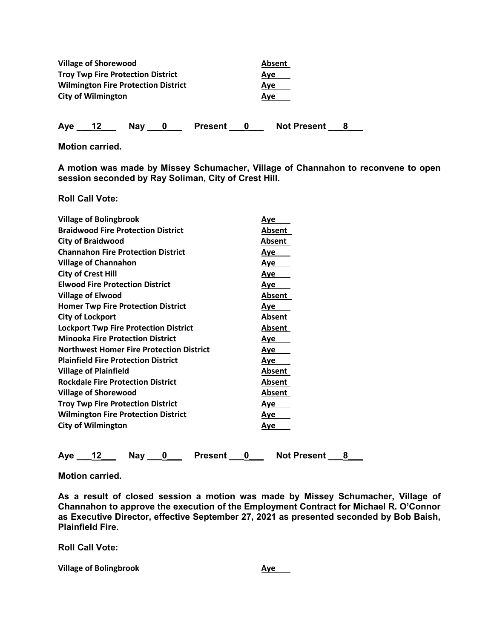| <b>Village of Shorewood</b>                | Absent |
|--------------------------------------------|--------|
| <b>Troy Twp Fire Protection District</b>   | Ave    |
| <b>Wilmington Fire Protection District</b> | Ave    |
| <b>City of Wilmington</b>                  | Ave    |
|                                            |        |

Aye 12 Nay 0 Present 0 Not Present 8

**Motion carried.** 

**A motion was made by Missey Schumacher, Village of Channahon to reconvene to open session seconded by Ray Soliman, City of Crest Hill.** 

**Roll Call Vote:** 

| <b>Village of Bolingbrook</b>                   | <u>Aye</u> |
|-------------------------------------------------|------------|
| <b>Braidwood Fire Protection District</b>       | Absent     |
| <b>City of Braidwood</b>                        | Absent     |
| <b>Channahon Fire Protection District</b>       | <u>Aye</u> |
| <b>Village of Channahon</b>                     | Aye        |
| <b>City of Crest Hill</b>                       | <u>Aye</u> |
| <b>Elwood Fire Protection District</b>          | <u>Aye</u> |
| <b>Village of Elwood</b>                        | Absent     |
| <b>Homer Twp Fire Protection District</b>       | Aye        |
| <b>City of Lockport</b>                         | Absent     |
| <b>Lockport Twp Fire Protection District</b>    | Absent     |
| <b>Minooka Fire Protection District</b>         | <u>Aye</u> |
| <b>Northwest Homer Fire Protection District</b> | <u>Aye</u> |
| <b>Plainfield Fire Protection District</b>      | <u>Aye</u> |
| <b>Village of Plainfield</b>                    | Absent     |
| <b>Rockdale Fire Protection District</b>        | Absent     |
| <b>Village of Shorewood</b>                     | Absent     |
| <b>Troy Twp Fire Protection District</b>        | <u>Aye</u> |
| <b>Wilmington Fire Protection District</b>      | <u>Aye</u> |
| <b>City of Wilmington</b>                       | <u>Aye</u> |
|                                                 |            |
|                                                 |            |

Aye 12 Nay 0 Present 0 Not Present 8

**Motion carried.** 

**As a result of closed session a motion was made by Missey Schumacher, Village of Channahon to approve the execution of the Employment Contract for Michael R. O'Connor as Executive Director, effective September 27, 2021 as presented seconded by Bob Baish, Plainfield Fire.** 

**Roll Call Vote:** 

**Village of Bolingbrook Aye**